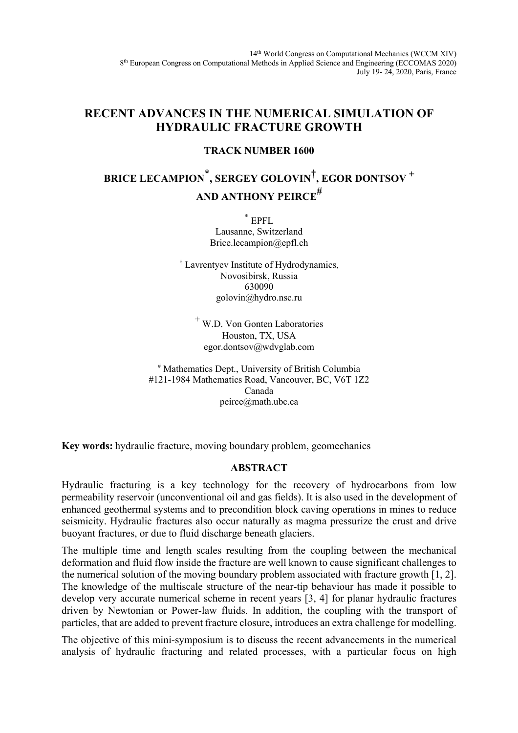# **RECENT ADVANCES IN THE NUMERICAL SIMULATION OF HYDRAULIC FRACTURE GROWTH**

### **TRACK NUMBER 1600**

# **BRICE LECAMPION \*, SERGEY GOLOVIN†, EGOR DONTSOV <sup>+</sup> AND ANTHONY PEIRCE#**

\* EPFL Lausanne, Switzerland Brice.lecampion@epfl.ch

† Lavrentyev Institute of Hydrodynamics, Novosibirsk, Russia 630090 golovin@hydro.nsc.ru

<sup>+</sup> W.D. Von Gonten Laboratories Houston, TX, USA egor.dontsov@wdvglab.com

# Mathematics Dept., University of British Columbia #121-1984 Mathematics Road, Vancouver, BC, V6T 1Z2 Canada peirce@math.ubc.ca

**Key words:** hydraulic fracture, moving boundary problem, geomechanics

## **ABSTRACT**

Hydraulic fracturing is a key technology for the recovery of hydrocarbons from low permeability reservoir (unconventional oil and gas fields). It is also used in the development of enhanced geothermal systems and to precondition block caving operations in mines to reduce seismicity. Hydraulic fractures also occur naturally as magma pressurize the crust and drive buoyant fractures, or due to fluid discharge beneath glaciers.

The multiple time and length scales resulting from the coupling between the mechanical deformation and fluid flow inside the fracture are well known to cause significant challenges to the numerical solution of the moving boundary problem associated with fracture growth [1, 2]. The knowledge of the multiscale structure of the near-tip behaviour has made it possible to develop very accurate numerical scheme in recent years [3, 4] for planar hydraulic fractures driven by Newtonian or Power-law fluids. In addition, the coupling with the transport of particles, that are added to prevent fracture closure, introduces an extra challenge for modelling.

The objective of this mini-symposium is to discuss the recent advancements in the numerical analysis of hydraulic fracturing and related processes, with a particular focus on high